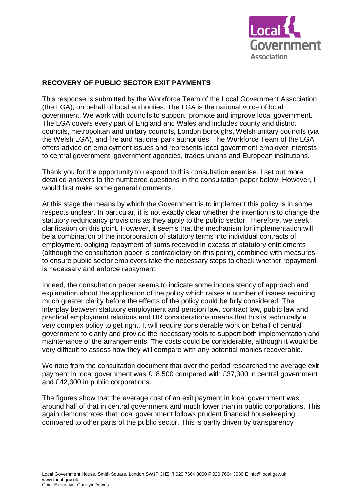

# **RECOVERY OF PUBLIC SECTOR EXIT PAYMENTS**

This response is submitted by the Workforce Team of the Local Government Association (the LGA), on behalf of local authorities. The LGA is the national voice of local government. We work with councils to support, promote and improve local government. The LGA covers every part of England and Wales and includes county and district councils, metropolitan and unitary councils, London boroughs, Welsh unitary councils (via the Welsh LGA), and fire and national park authorities. The Workforce Team of the LGA offers advice on employment issues and represents local government employer interests to central government, government agencies, trades unions and European institutions.

Thank you for the opportunity to respond to this consultation exercise. I set out more detailed answers to the numbered questions in the consultation paper below. However, I would first make some general comments.

At this stage the means by which the Government is to implement this policy is in some respects unclear. In particular, it is not exactly clear whether the intention is to change the statutory redundancy provisions as they apply to the public sector. Therefore, we seek clarification on this point. However, it seems that the mechanism for implementation will be a combination of the incorporation of statutory terms into individual contracts of employment, obliging repayment of sums received in excess of statutory entitlements (although the consultation paper is contradictory on this point), combined with measures to ensure public sector employers take the necessary steps to check whether repayment is necessary and enforce repayment.

Indeed, the consultation paper seems to indicate some inconsistency of approach and explanation about the application of the policy which raises a number of issues requiring much greater clarity before the effects of the policy could be fully considered. The interplay between statutory employment and pension law, contract law, public law and practical employment relations and HR considerations means that this is technically a very complex policy to get right. It will require considerable work on behalf of central government to clarify and provide the necessary tools to support both implementation and maintenance of the arrangements. The costs could be considerable, although it would be very difficult to assess how they will compare with any potential monies recoverable.

We note from the consultation document that over the period researched the average exit payment in local government was £18,500 compared with £37,300 in central government and £42,300 in public corporations.

The figures show that the average cost of an exit payment in local government was around half of that in central government and much lower than in public corporations. This again demonstrates that local government follows prudent financial housekeeping compared to other parts of the public sector. This is partly driven by transparency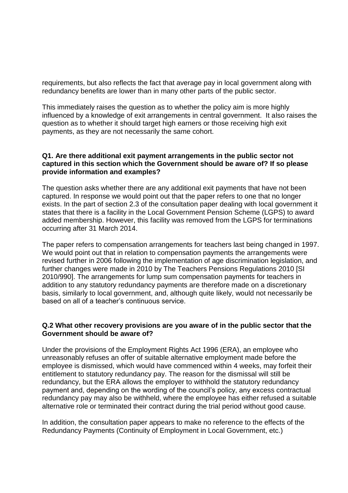requirements, but also reflects the fact that average pay in local government along with redundancy benefits are lower than in many other parts of the public sector.

This immediately raises the question as to whether the policy aim is more highly influenced by a knowledge of exit arrangements in central government. It also raises the question as to whether it should target high earners or those receiving high exit payments, as they are not necessarily the same cohort.

## **Q1. Are there additional exit payment arrangements in the public sector not captured in this section which the Government should be aware of? If so please provide information and examples?**

The question asks whether there are any additional exit payments that have not been captured. In response we would point out that the paper refers to one that no longer exists. In the part of section 2.3 of the consultation paper dealing with local government it states that there is a facility in the Local Government Pension Scheme (LGPS) to award added membership. However, this facility was removed from the LGPS for terminations occurring after 31 March 2014.

The paper refers to compensation arrangements for teachers last being changed in 1997. We would point out that in relation to compensation payments the arrangements were revised further in 2006 following the implementation of age discrimination legislation, and further changes were made in 2010 by The Teachers Pensions Regulations 2010 [SI 2010/990]. The arrangements for lump sum compensation payments for teachers in addition to any statutory redundancy payments are therefore made on a discretionary basis, similarly to local government, and, although quite likely, would not necessarily be based on all of a teacher's continuous service.

## **Q.2 What other recovery provisions are you aware of in the public sector that the Government should be aware of?**

Under the provisions of the Employment Rights Act 1996 (ERA), an employee who unreasonably refuses an offer of suitable alternative employment made before the employee is dismissed, which would have commenced within 4 weeks, may forfeit their entitlement to statutory redundancy pay. The reason for the dismissal will still be redundancy, but the ERA allows the employer to withhold the statutory redundancy payment and, depending on the wording of the council's policy, any excess contractual redundancy pay may also be withheld, where the employee has either refused a suitable alternative role or terminated their contract during the trial period without good cause.

In addition, the consultation paper appears to make no reference to the effects of the Redundancy Payments (Continuity of Employment in Local Government, etc.)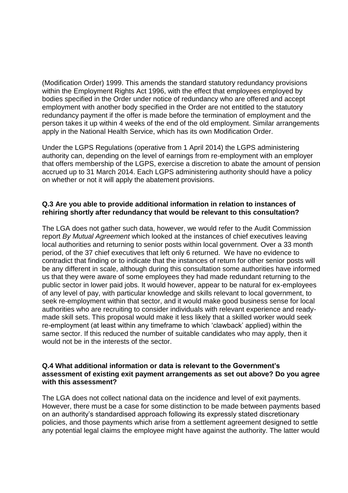(Modification Order) 1999. This amends the standard statutory redundancy provisions within the Employment Rights Act 1996, with the effect that employees employed by bodies specified in the Order under notice of redundancy who are offered and accept employment with another body specified in the Order are not entitled to the statutory redundancy payment if the offer is made before the termination of employment and the person takes it up within 4 weeks of the end of the old employment. Similar arrangements apply in the National Health Service, which has its own Modification Order.

Under the LGPS Regulations (operative from 1 April 2014) the LGPS administering authority can, depending on the level of earnings from re-employment with an employer that offers membership of the LGPS, exercise a discretion to abate the amount of pension accrued up to 31 March 2014. Each LGPS administering authority should have a policy on whether or not it will apply the abatement provisions.

## **Q.3 Are you able to provide additional information in relation to instances of rehiring shortly after redundancy that would be relevant to this consultation?**

The LGA does not gather such data, however, we would refer to the Audit Commission report *By Mutual Agreement* which looked at the instances of chief executives leaving local authorities and returning to senior posts within local government. Over a 33 month period, of the 37 chief executives that left only 6 returned. We have no evidence to contradict that finding or to indicate that the instances of return for other senior posts will be any different in scale, although during this consultation some authorities have informed us that they were aware of some employees they had made redundant returning to the public sector in lower paid jobs. It would however, appear to be natural for ex-employees of any level of pay, with particular knowledge and skills relevant to local government, to seek re-employment within that sector, and it would make good business sense for local authorities who are recruiting to consider individuals with relevant experience and readymade skill sets. This proposal would make it less likely that a skilled worker would seek re-employment (at least within any timeframe to which 'clawback' applied) within the same sector. If this reduced the number of suitable candidates who may apply, then it would not be in the interests of the sector.

#### **Q.4 What additional information or data is relevant to the Government's assessment of existing exit payment arrangements as set out above? Do you agree with this assessment?**

The LGA does not collect national data on the incidence and level of exit payments. However, there must be a case for some distinction to be made between payments based on an authority's standardised approach following its expressly stated discretionary policies, and those payments which arise from a settlement agreement designed to settle any potential legal claims the employee might have against the authority. The latter would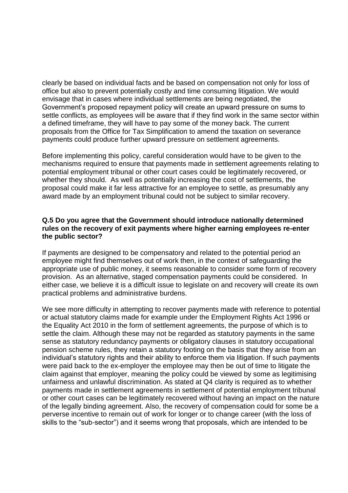clearly be based on individual facts and be based on compensation not only for loss of office but also to prevent potentially costly and time consuming litigation. We would envisage that in cases where individual settlements are being negotiated, the Government's proposed repayment policy will create an upward pressure on sums to settle conflicts, as employees will be aware that if they find work in the same sector within a defined timeframe, they will have to pay some of the money back. The current proposals from the Office for Tax Simplification to amend the taxation on severance payments could produce further upward pressure on settlement agreements.

Before implementing this policy, careful consideration would have to be given to the mechanisms required to ensure that payments made in settlement agreements relating to potential employment tribunal or other court cases could be legitimately recovered, or whether they should. As well as potentially increasing the cost of settlements, the proposal could make it far less attractive for an employee to settle, as presumably any award made by an employment tribunal could not be subject to similar recovery.

## **Q.5 Do you agree that the Government should introduce nationally determined rules on the recovery of exit payments where higher earning employees re-enter the public sector?**

If payments are designed to be compensatory and related to the potential period an employee might find themselves out of work then, in the context of safeguarding the appropriate use of public money, it seems reasonable to consider some form of recovery provision. As an alternative, staged compensation payments could be considered. In either case, we believe it is a difficult issue to legislate on and recovery will create its own practical problems and administrative burdens.

We see more difficulty in attempting to recover payments made with reference to potential or actual statutory claims made for example under the Employment Rights Act 1996 or the Equality Act 2010 in the form of settlement agreements, the purpose of which is to settle the claim. Although these may not be regarded as statutory payments in the same sense as statutory redundancy payments or obligatory clauses in statutory occupational pension scheme rules, they retain a statutory footing on the basis that they arise from an individual's statutory rights and their ability to enforce them via litigation. If such payments were paid back to the ex-employer the employee may then be out of time to litigate the claim against that employer, meaning the policy could be viewed by some as legitimising unfairness and unlawful discrimination. As stated at Q4 clarity is required as to whether payments made in settlement agreements in settlement of potential employment tribunal or other court cases can be legitimately recovered without having an impact on the nature of the legally binding agreement. Also, the recovery of compensation could for some be a perverse incentive to remain out of work for longer or to change career (with the loss of skills to the "sub-sector") and it seems wrong that proposals, which are intended to be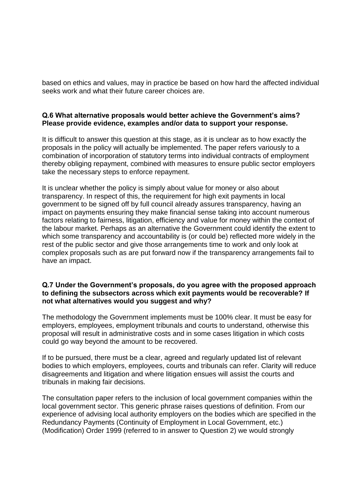based on ethics and values, may in practice be based on how hard the affected individual seeks work and what their future career choices are.

# **Q.6 What alternative proposals would better achieve the Government's aims? Please provide evidence, examples and/or data to support your response.**

It is difficult to answer this question at this stage, as it is unclear as to how exactly the proposals in the policy will actually be implemented. The paper refers variously to a combination of incorporation of statutory terms into individual contracts of employment thereby obliging repayment, combined with measures to ensure public sector employers take the necessary steps to enforce repayment.

It is unclear whether the policy is simply about value for money or also about transparency. In respect of this, the requirement for high exit payments in local government to be signed off by full council already assures transparency, having an impact on payments ensuring they make financial sense taking into account numerous factors relating to fairness, litigation, efficiency and value for money within the context of the labour market. Perhaps as an alternative the Government could identify the extent to which some transparency and accountability is (or could be) reflected more widely in the rest of the public sector and give those arrangements time to work and only look at complex proposals such as are put forward now if the transparency arrangements fail to have an impact.

# **Q.7 Under the Government's proposals, do you agree with the proposed approach to defining the subsectors across which exit payments would be recoverable? If not what alternatives would you suggest and why?**

The methodology the Government implements must be 100% clear. It must be easy for employers, employees, employment tribunals and courts to understand, otherwise this proposal will result in administrative costs and in some cases litigation in which costs could go way beyond the amount to be recovered.

If to be pursued, there must be a clear, agreed and regularly updated list of relevant bodies to which employers, employees, courts and tribunals can refer. Clarity will reduce disagreements and litigation and where litigation ensues will assist the courts and tribunals in making fair decisions.

The consultation paper refers to the inclusion of local government companies within the local government sector. This generic phrase raises questions of definition. From our experience of advising local authority employers on the bodies which are specified in the Redundancy Payments (Continuity of Employment in Local Government, etc.) (Modification) Order 1999 (referred to in answer to Question 2) we would strongly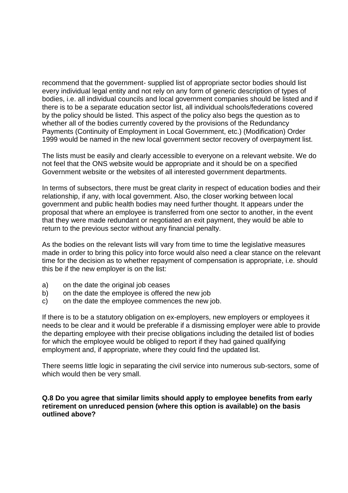recommend that the government- supplied list of appropriate sector bodies should list every individual legal entity and not rely on any form of generic description of types of bodies, i.e. all individual councils and local government companies should be listed and if there is to be a separate education sector list, all individual schools/federations covered by the policy should be listed. This aspect of the policy also begs the question as to whether all of the bodies currently covered by the provisions of the Redundancy Payments (Continuity of Employment in Local Government, etc.) (Modification) Order 1999 would be named in the new local government sector recovery of overpayment list.

The lists must be easily and clearly accessible to everyone on a relevant website. We do not feel that the ONS website would be appropriate and it should be on a specified Government website or the websites of all interested government departments.

In terms of subsectors, there must be great clarity in respect of education bodies and their relationship, if any, with local government. Also, the closer working between local government and public health bodies may need further thought. It appears under the proposal that where an employee is transferred from one sector to another, in the event that they were made redundant or negotiated an exit payment, they would be able to return to the previous sector without any financial penalty.

As the bodies on the relevant lists will vary from time to time the legislative measures made in order to bring this policy into force would also need a clear stance on the relevant time for the decision as to whether repayment of compensation is appropriate, i.e. should this be if the new employer is on the list:

- a) on the date the original job ceases
- b) on the date the employee is offered the new job
- c) on the date the employee commences the new job.

If there is to be a statutory obligation on ex-employers, new employers or employees it needs to be clear and it would be preferable if a dismissing employer were able to provide the departing employee with their precise obligations including the detailed list of bodies for which the employee would be obliged to report if they had gained qualifying employment and, if appropriate, where they could find the updated list.

There seems little logic in separating the civil service into numerous sub-sectors, some of which would then be very small.

## **Q.8 Do you agree that similar limits should apply to employee benefits from early retirement on unreduced pension (where this option is available) on the basis outlined above?**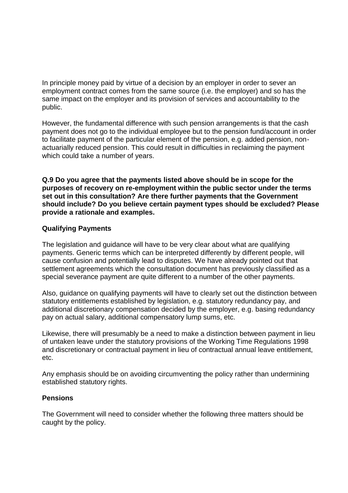In principle money paid by virtue of a decision by an employer in order to sever an employment contract comes from the same source (i.e. the employer) and so has the same impact on the employer and its provision of services and accountability to the public.

However, the fundamental difference with such pension arrangements is that the cash payment does not go to the individual employee but to the pension fund/account in order to facilitate payment of the particular element of the pension, e.g. added pension, nonactuarially reduced pension. This could result in difficulties in reclaiming the payment which could take a number of years.

**Q.9 Do you agree that the payments listed above should be in scope for the purposes of recovery on re-employment within the public sector under the terms set out in this consultation? Are there further payments that the Government should include? Do you believe certain payment types should be excluded? Please provide a rationale and examples.**

# **Qualifying Payments**

The legislation and guidance will have to be very clear about what are qualifying payments. Generic terms which can be interpreted differently by different people, will cause confusion and potentially lead to disputes. We have already pointed out that settlement agreements which the consultation document has previously classified as a special severance payment are quite different to a number of the other payments.

Also, guidance on qualifying payments will have to clearly set out the distinction between statutory entitlements established by legislation, e.g. statutory redundancy pay, and additional discretionary compensation decided by the employer, e.g. basing redundancy pay on actual salary, additional compensatory lump sums, etc.

Likewise, there will presumably be a need to make a distinction between payment in lieu of untaken leave under the statutory provisions of the Working Time Regulations 1998 and discretionary or contractual payment in lieu of contractual annual leave entitlement, etc.

Any emphasis should be on avoiding circumventing the policy rather than undermining established statutory rights.

## **Pensions**

The Government will need to consider whether the following three matters should be caught by the policy.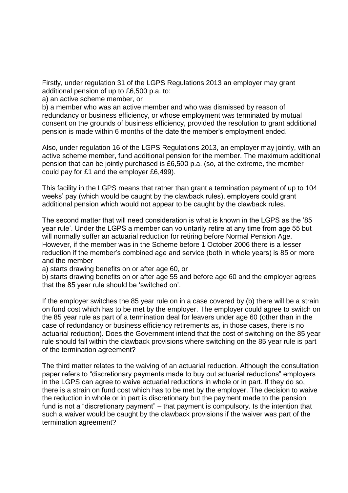Firstly, under regulation 31 of the LGPS Regulations 2013 an employer may grant additional pension of up to £6,500 p.a. to:

a) an active scheme member, or

b) a member who was an active member and who was dismissed by reason of redundancy or business efficiency, or whose employment was terminated by mutual consent on the grounds of business efficiency, provided the resolution to grant additional pension is made within 6 months of the date the member's employment ended.

Also, under regulation 16 of the LGPS Regulations 2013, an employer may jointly, with an active scheme member, fund additional pension for the member. The maximum additional pension that can be jointly purchased is £6,500 p.a. (so, at the extreme, the member could pay for £1 and the employer £6,499).

This facility in the LGPS means that rather than grant a termination payment of up to 104 weeks' pay (which would be caught by the clawback rules), employers could grant additional pension which would not appear to be caught by the clawback rules.

The second matter that will need consideration is what is known in the LGPS as the '85 year rule'. Under the LGPS a member can voluntarily retire at any time from age 55 but will normally suffer an actuarial reduction for retiring before Normal Pension Age. However, if the member was in the Scheme before 1 October 2006 there is a lesser reduction if the member's combined age and service (both in whole years) is 85 or more and the member

a) starts drawing benefits on or after age 60, or

b) starts drawing benefits on or after age 55 and before age 60 and the employer agrees that the 85 year rule should be 'switched on'.

If the employer switches the 85 year rule on in a case covered by (b) there will be a strain on fund cost which has to be met by the employer. The employer could agree to switch on the 85 year rule as part of a termination deal for leavers under age 60 (other than in the case of redundancy or business efficiency retirements as, in those cases, there is no actuarial reduction). Does the Government intend that the cost of switching on the 85 year rule should fall within the clawback provisions where switching on the 85 year rule is part of the termination agreement?

The third matter relates to the waiving of an actuarial reduction. Although the consultation paper refers to "discretionary payments made to buy out actuarial reductions" employers in the LGPS can agree to waive actuarial reductions in whole or in part. If they do so, there is a strain on fund cost which has to be met by the employer. The decision to waive the reduction in whole or in part is discretionary but the payment made to the pension fund is not a "discretionary payment" – that payment is compulsory. Is the intention that such a waiver would be caught by the clawback provisions if the waiver was part of the termination agreement?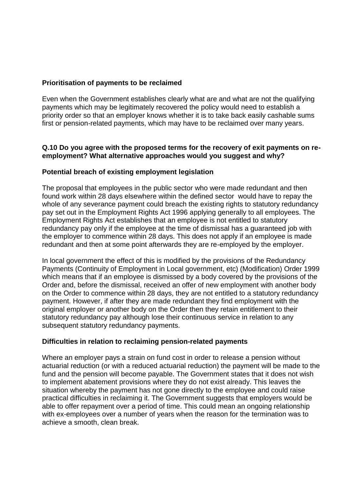## **Prioritisation of payments to be reclaimed**

Even when the Government establishes clearly what are and what are not the qualifying payments which may be legitimately recovered the policy would need to establish a priority order so that an employer knows whether it is to take back easily cashable sums first or pension-related payments, which may have to be reclaimed over many years.

## **Q.10 Do you agree with the proposed terms for the recovery of exit payments on reemployment? What alternative approaches would you suggest and why?**

# **Potential breach of existing employment legislation**

The proposal that employees in the public sector who were made redundant and then found work within 28 days elsewhere within the defined sector would have to repay the whole of any severance payment could breach the existing rights to statutory redundancy pay set out in the Employment Rights Act 1996 applying generally to all employees. The Employment Rights Act establishes that an employee is not entitled to statutory redundancy pay only if the employee at the time of dismissal has a guaranteed job with the employer to commence within 28 days. This does not apply if an employee is made redundant and then at some point afterwards they are re-employed by the employer.

In local government the effect of this is modified by the provisions of the Redundancy Payments (Continuity of Employment in Local government, etc) (Modification) Order 1999 which means that if an employee is dismissed by a body covered by the provisions of the Order and, before the dismissal, received an offer of new employment with another body on the Order to commence within 28 days, they are not entitled to a statutory redundancy payment. However, if after they are made redundant they find employment with the original employer or another body on the Order then they retain entitlement to their statutory redundancy pay although lose their continuous service in relation to any subsequent statutory redundancy payments.

## **Difficulties in relation to reclaiming pension-related payments**

Where an employer pays a strain on fund cost in order to release a pension without actuarial reduction (or with a reduced actuarial reduction) the payment will be made to the fund and the pension will become payable. The Government states that it does not wish to implement abatement provisions where they do not exist already. This leaves the situation whereby the payment has not gone directly to the employee and could raise practical difficulties in reclaiming it. The Government suggests that employers would be able to offer repayment over a period of time. This could mean an ongoing relationship with ex-employees over a number of years when the reason for the termination was to achieve a smooth, clean break.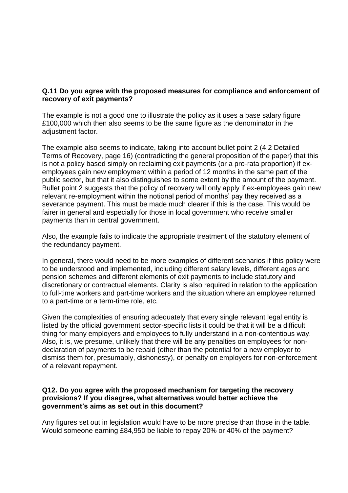# **Q.11 Do you agree with the proposed measures for compliance and enforcement of recovery of exit payments?**

The example is not a good one to illustrate the policy as it uses a base salary figure £100,000 which then also seems to be the same figure as the denominator in the adjustment factor.

The example also seems to indicate, taking into account bullet point 2 (4.2 Detailed Terms of Recovery, page 16) (contradicting the general proposition of the paper) that this is not a policy based simply on reclaiming exit payments (or a pro-rata proportion) if exemployees gain new employment within a period of 12 months in the same part of the public sector, but that it also distinguishes to some extent by the amount of the payment. Bullet point 2 suggests that the policy of recovery will only apply if ex-employees gain new relevant re-employment within the notional period of months' pay they received as a severance payment. This must be made much clearer if this is the case. This would be fairer in general and especially for those in local government who receive smaller payments than in central government.

Also, the example fails to indicate the appropriate treatment of the statutory element of the redundancy payment.

In general, there would need to be more examples of different scenarios if this policy were to be understood and implemented, including different salary levels, different ages and pension schemes and different elements of exit payments to include statutory and discretionary or contractual elements. Clarity is also required in relation to the application to full-time workers and part-time workers and the situation where an employee returned to a part-time or a term-time role, etc.

Given the complexities of ensuring adequately that every single relevant legal entity is listed by the official government sector-specific lists it could be that it will be a difficult thing for many employers and employees to fully understand in a non-contentious way. Also, it is, we presume, unlikely that there will be any penalties on employees for nondeclaration of payments to be repaid (other than the potential for a new employer to dismiss them for, presumably, dishonesty), or penalty on employers for non-enforcement of a relevant repayment.

## **Q12. Do you agree with the proposed mechanism for targeting the recovery provisions? If you disagree, what alternatives would better achieve the government's aims as set out in this document?**

Any figures set out in legislation would have to be more precise than those in the table. Would someone earning £84,950 be liable to repay 20% or 40% of the payment?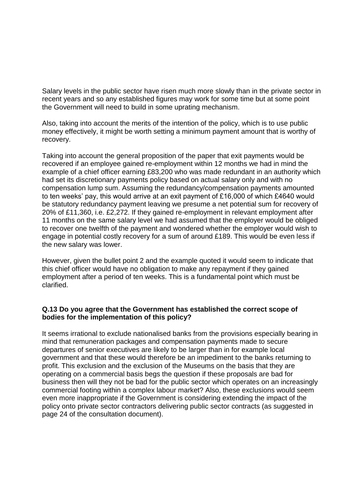Salary levels in the public sector have risen much more slowly than in the private sector in recent years and so any established figures may work for some time but at some point the Government will need to build in some uprating mechanism.

Also, taking into account the merits of the intention of the policy, which is to use public money effectively, it might be worth setting a minimum payment amount that is worthy of recovery.

Taking into account the general proposition of the paper that exit payments would be recovered if an employee gained re-employment within 12 months we had in mind the example of a chief officer earning £83,200 who was made redundant in an authority which had set its discretionary payments policy based on actual salary only and with no compensation lump sum. Assuming the redundancy/compensation payments amounted to ten weeks' pay, this would arrive at an exit payment of £16,000 of which £4640 would be statutory redundancy payment leaving we presume a net potential sum for recovery of 20% of £11,360, i.e. £2,272. If they gained re-employment in relevant employment after 11 months on the same salary level we had assumed that the employer would be obliged to recover one twelfth of the payment and wondered whether the employer would wish to engage in potential costly recovery for a sum of around £189. This would be even less if the new salary was lower.

However, given the bullet point 2 and the example quoted it would seem to indicate that this chief officer would have no obligation to make any repayment if they gained employment after a period of ten weeks. This is a fundamental point which must be clarified.

## **Q.13 Do you agree that the Government has established the correct scope of bodies for the implementation of this policy?**

It seems irrational to exclude nationalised banks from the provisions especially bearing in mind that remuneration packages and compensation payments made to secure departures of senior executives are likely to be larger than in for example local government and that these would therefore be an impediment to the banks returning to profit. This exclusion and the exclusion of the Museums on the basis that they are operating on a commercial basis begs the question if these proposals are bad for business then will they not be bad for the public sector which operates on an increasingly commercial footing within a complex labour market? Also, these exclusions would seem even more inappropriate if the Government is considering extending the impact of the policy onto private sector contractors delivering public sector contracts (as suggested in page 24 of the consultation document).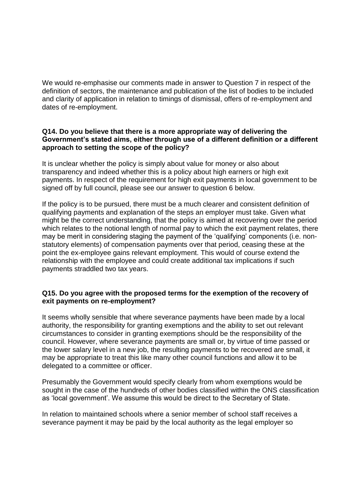We would re-emphasise our comments made in answer to Question 7 in respect of the definition of sectors, the maintenance and publication of the list of bodies to be included and clarity of application in relation to timings of dismissal, offers of re-employment and dates of re-employment.

## **Q14. Do you believe that there is a more appropriate way of delivering the Government's stated aims, either through use of a different definition or a different approach to setting the scope of the policy?**

It is unclear whether the policy is simply about value for money or also about transparency and indeed whether this is a policy about high earners or high exit payments. In respect of the requirement for high exit payments in local government to be signed off by full council, please see our answer to question 6 below.

If the policy is to be pursued, there must be a much clearer and consistent definition of qualifying payments and explanation of the steps an employer must take. Given what might be the correct understanding, that the policy is aimed at recovering over the period which relates to the notional length of normal pay to which the exit payment relates, there may be merit in considering staging the payment of the 'qualifying' components (i.e. nonstatutory elements) of compensation payments over that period, ceasing these at the point the ex-employee gains relevant employment. This would of course extend the relationship with the employee and could create additional tax implications if such payments straddled two tax years.

## **Q15. Do you agree with the proposed terms for the exemption of the recovery of exit payments on re-employment?**

It seems wholly sensible that where severance payments have been made by a local authority, the responsibility for granting exemptions and the ability to set out relevant circumstances to consider in granting exemptions should be the responsibility of the council. However, where severance payments are small or, by virtue of time passed or the lower salary level in a new job, the resulting payments to be recovered are small, it may be appropriate to treat this like many other council functions and allow it to be delegated to a committee or officer.

Presumably the Government would specify clearly from whom exemptions would be sought in the case of the hundreds of other bodies classified within the ONS classification as 'local government'. We assume this would be direct to the Secretary of State.

In relation to maintained schools where a senior member of school staff receives a severance payment it may be paid by the local authority as the legal employer so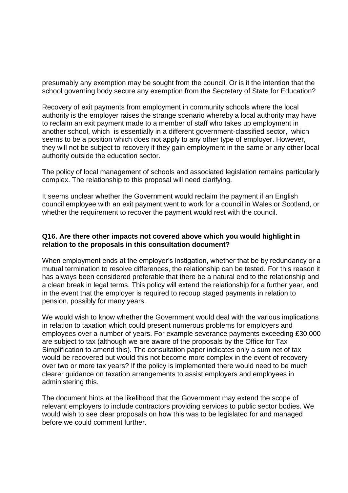presumably any exemption may be sought from the council. Or is it the intention that the school governing body secure any exemption from the Secretary of State for Education?

Recovery of exit payments from employment in community schools where the local authority is the employer raises the strange scenario whereby a local authority may have to reclaim an exit payment made to a member of staff who takes up employment in another school, which is essentially in a different government-classified sector, which seems to be a position which does not apply to any other type of employer. However, they will not be subject to recovery if they gain employment in the same or any other local authority outside the education sector.

The policy of local management of schools and associated legislation remains particularly complex. The relationship to this proposal will need clarifying.

It seems unclear whether the Government would reclaim the payment if an English council employee with an exit payment went to work for a council in Wales or Scotland, or whether the requirement to recover the payment would rest with the council.

## **Q16. Are there other impacts not covered above which you would highlight in relation to the proposals in this consultation document?**

When employment ends at the employer's instigation, whether that be by redundancy or a mutual termination to resolve differences, the relationship can be tested. For this reason it has always been considered preferable that there be a natural end to the relationship and a clean break in legal terms. This policy will extend the relationship for a further year, and in the event that the employer is required to recoup staged payments in relation to pension, possibly for many years.

We would wish to know whether the Government would deal with the various implications in relation to taxation which could present numerous problems for employers and employees over a number of years. For example severance payments exceeding £30,000 are subject to tax (although we are aware of the proposals by the Office for Tax Simplification to amend this). The consultation paper indicates only a sum net of tax would be recovered but would this not become more complex in the event of recovery over two or more tax years? If the policy is implemented there would need to be much clearer guidance on taxation arrangements to assist employers and employees in administering this.

The document hints at the likelihood that the Government may extend the scope of relevant employers to include contractors providing services to public sector bodies. We would wish to see clear proposals on how this was to be legislated for and managed before we could comment further.